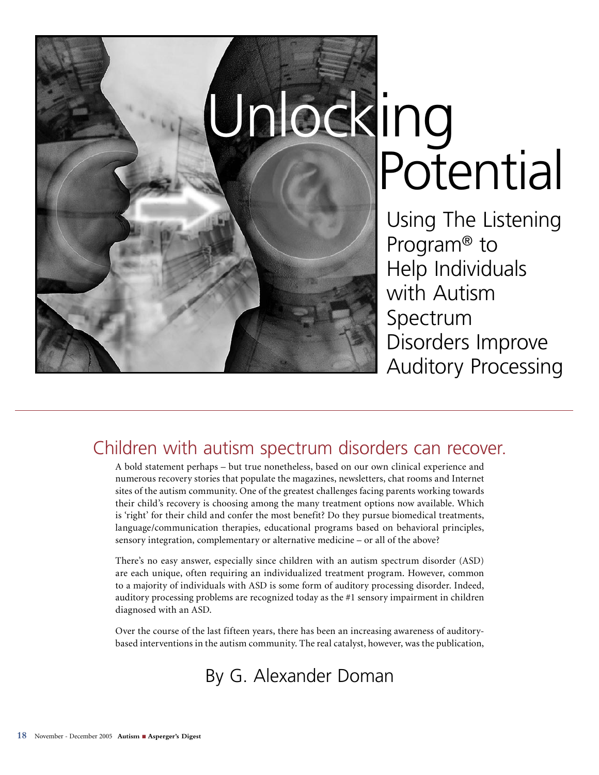

# Unlocking<br>Potential

Using The Listening Program® to Help Individuals with Autism Spectrum Disorders Improve Auditory Processing

# Children with autism spectrum disorders can recover.

A bold statement perhaps – but true nonetheless, based on our own clinical experience and numerous recovery stories that populate the magazines, newsletters, chat rooms and Internet sites of the autism community. One of the greatest challenges facing parents working towards their child's recovery is choosing among the many treatment options now available. Which is 'right' for their child and confer the most benefit? Do they pursue biomedical treatments, language/communication therapies, educational programs based on behavioral principles, sensory integration, complementary or alternative medicine – or all of the above?

There's no easy answer, especially since children with an autism spectrum disorder (ASD) are each unique, often requiring an individualized treatment program. However, common to a majority of individuals with ASD is some form of auditory processing disorder. Indeed, auditory processing problems are recognized today as the #1 sensory impairment in children diagnosed with an ASD.

Over the course of the last fifteen years, there has been an increasing awareness of auditorybased interventions in the autism community. The real catalyst, however, was the publication,

# By G. Alexander Doman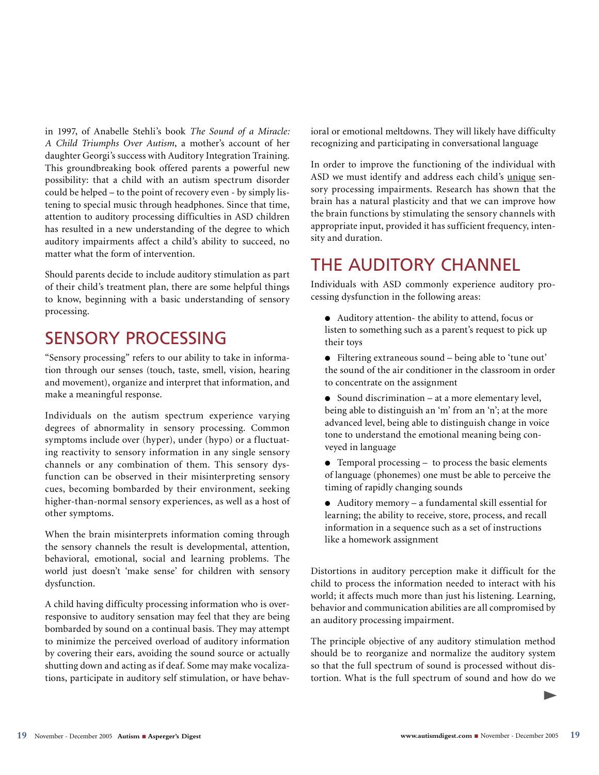in 1997, of Anabelle Stehli's book *The Sound of a Miracle: A Child Triumphs Over Autism*, a mother's account of her daughter Georgi's success with Auditory Integration Training. This groundbreaking book offered parents a powerful new possibility: that a child with an autism spectrum disorder could be helped – to the point of recovery even - by simply listening to special music through headphones. Since that time, attention to auditory processing difficulties in ASD children has resulted in a new understanding of the degree to which auditory impairments affect a child's ability to succeed, no matter what the form of intervention.

Should parents decide to include auditory stimulation as part of their child's treatment plan, there are some helpful things to know, beginning with a basic understanding of sensory processing.

# SENSORY PROCESSING

"Sensory processing" refers to our ability to take in information through our senses (touch, taste, smell, vision, hearing and movement), organize and interpret that information, and make a meaningful response.

Individuals on the autism spectrum experience varying degrees of abnormality in sensory processing. Common symptoms include over (hyper), under (hypo) or a fluctuating reactivity to sensory information in any single sensory channels or any combination of them. This sensory dysfunction can be observed in their misinterpreting sensory cues, becoming bombarded by their environment, seeking higher-than-normal sensory experiences, as well as a host of other symptoms.

When the brain misinterprets information coming through the sensory channels the result is developmental, attention, behavioral, emotional, social and learning problems. The world just doesn't 'make sense' for children with sensory dysfunction.

A child having difficulty processing information who is overresponsive to auditory sensation may feel that they are being bombarded by sound on a continual basis. They may attempt to minimize the perceived overload of auditory information by covering their ears, avoiding the sound source or actually shutting down and acting as if deaf. Some may make vocalizations, participate in auditory self stimulation, or have behavioral or emotional meltdowns. They will likely have difficulty recognizing and participating in conversational language

In order to improve the functioning of the individual with ASD we must identify and address each child's unique sensory processing impairments. Research has shown that the brain has a natural plasticity and that we can improve how the brain functions by stimulating the sensory channels with appropriate input, provided it has sufficient frequency, intensity and duration.

# THE AUDITORY CHANNEL

Individuals with ASD commonly experience auditory processing dysfunction in the following areas:

- Auditory attention- the ability to attend, focus or listen to something such as a parent's request to pick up their toys
- Filtering extraneous sound being able to 'tune out' the sound of the air conditioner in the classroom in order to concentrate on the assignment
- Sound discrimination at a more elementary level, being able to distinguish an 'm' from an 'n'; at the more advanced level, being able to distinguish change in voice tone to understand the emotional meaning being conveyed in language
- Temporal processing to process the basic elements of language (phonemes) one must be able to perceive the timing of rapidly changing sounds
- Auditory memory a fundamental skill essential for learning; the ability to receive, store, process, and recall information in a sequence such as a set of instructions like a homework assignment

Distortions in auditory perception make it difficult for the child to process the information needed to interact with his world; it affects much more than just his listening. Learning, behavior and communication abilities are all compromised by an auditory processing impairment.

The principle objective of any auditory stimulation method should be to reorganize and normalize the auditory system so that the full spectrum of sound is processed without distortion. What is the full spectrum of sound and how do we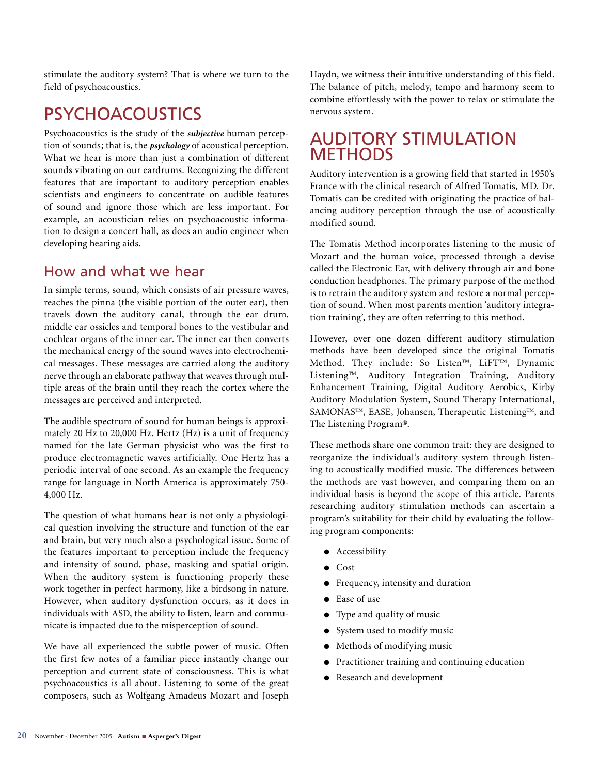stimulate the auditory system? That is where we turn to the field of psychoacoustics.

# PSYCHOACOUSTICS

Psychoacoustics is the study of the *subjective* human perception of sounds; that is, the *psychology* of acoustical perception. What we hear is more than just a combination of different sounds vibrating on our eardrums. Recognizing the different features that are important to auditory perception enables scientists and engineers to concentrate on audible features of sound and ignore those which are less important. For example, an acoustician relies on psychoacoustic information to design a concert hall, as does an audio engineer when developing hearing aids.

## How and what we hear

In simple terms, sound, which consists of air pressure waves, reaches the pinna (the visible portion of the outer ear), then travels down the auditory canal, through the ear drum, middle ear ossicles and temporal bones to the vestibular and cochlear organs of the inner ear. The inner ear then converts the mechanical energy of the sound waves into electrochemical messages. These messages are carried along the auditory nerve through an elaborate pathway that weaves through multiple areas of the brain until they reach the cortex where the messages are perceived and interpreted.

The audible spectrum of sound for human beings is approximately 20 Hz to 20,000 Hz. Hertz (Hz) is a unit of frequency named for the late German physicist who was the first to produce electromagnetic waves artificially. One Hertz has a periodic interval of one second. As an example the frequency range for language in North America is approximately 750- 4,000 Hz.

The question of what humans hear is not only a physiological question involving the structure and function of the ear and brain, but very much also a psychological issue. Some of the features important to perception include the frequency and intensity of sound, phase, masking and spatial origin. When the auditory system is functioning properly these work together in perfect harmony, like a birdsong in nature. However, when auditory dysfunction occurs, as it does in individuals with ASD, the ability to listen, learn and communicate is impacted due to the misperception of sound.

We have all experienced the subtle power of music. Often the first few notes of a familiar piece instantly change our perception and current state of consciousness. This is what psychoacoustics is all about. Listening to some of the great composers, such as Wolfgang Amadeus Mozart and Joseph

Haydn, we witness their intuitive understanding of this field. The balance of pitch, melody, tempo and harmony seem to combine effortlessly with the power to relax or stimulate the nervous system.

# AUDITORY STIMULATION **METHODS**

Auditory intervention is a growing field that started in 1950's France with the clinical research of Alfred Tomatis, MD. Dr. Tomatis can be credited with originating the practice of balancing auditory perception through the use of acoustically modified sound.

The Tomatis Method incorporates listening to the music of Mozart and the human voice, processed through a devise called the Electronic Ear, with delivery through air and bone conduction headphones. The primary purpose of the method is to retrain the auditory system and restore a normal perception of sound. When most parents mention 'auditory integration training', they are often referring to this method.

However, over one dozen different auditory stimulation methods have been developed since the original Tomatis Method. They include: So Listen™, LiFT™, Dynamic Listening™, Auditory Integration Training, Auditory Enhancement Training, Digital Auditory Aerobics, Kirby Auditory Modulation System, Sound Therapy International, SAMONAS™, EASE, Johansen, Therapeutic Listening™, and The Listening Program®.

These methods share one common trait: they are designed to reorganize the individual's auditory system through listening to acoustically modified music. The differences between the methods are vast however, and comparing them on an individual basis is beyond the scope of this article. Parents researching auditory stimulation methods can ascertain a program's suitability for their child by evaluating the following program components:

- Accessibility
- Cost
- Frequency, intensity and duration
- Ease of use
- Type and quality of music
- System used to modify music
- Methods of modifying music
- Practitioner training and continuing education
- Research and development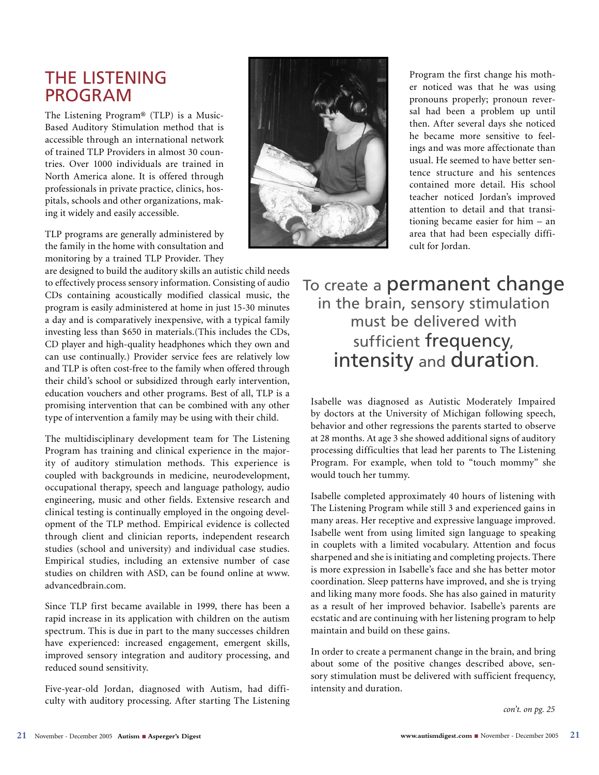# THE LISTENING PROGRAM

The Listening Program® (TLP) is a Music-Based Auditory Stimulation method that is accessible through an international network of trained TLP Providers in almost 30 countries. Over 1000 individuals are trained in North America alone. It is offered through professionals in private practice, clinics, hospitals, schools and other organizations, making it widely and easily accessible.

TLP programs are generally administered by the family in the home with consultation and monitoring by a trained TLP Provider. They

are designed to build the auditory skills an autistic child needs to effectively process sensory information. Consisting of audio CDs containing acoustically modified classical music, the program is easily administered at home in just 15-30 minutes a day and is comparatively inexpensive, with a typical family investing less than \$650 in materials.(This includes the CDs, CD player and high-quality headphones which they own and can use continually.) Provider service fees are relatively low and TLP is often cost-free to the family when offered through their child's school or subsidized through early intervention, education vouchers and other programs. Best of all, TLP is a promising intervention that can be combined with any other type of intervention a family may be using with their child.

The multidisciplinary development team for The Listening Program has training and clinical experience in the majority of auditory stimulation methods. This experience is coupled with backgrounds in medicine, neurodevelopment, occupational therapy, speech and language pathology, audio engineering, music and other fields. Extensive research and clinical testing is continually employed in the ongoing development of the TLP method. Empirical evidence is collected through client and clinician reports, independent research studies (school and university) and individual case studies. Empirical studies, including an extensive number of case studies on children with ASD, can be found online at www. advancedbrain.com.

Since TLP first became available in 1999, there has been a rapid increase in its application with children on the autism spectrum. This is due in part to the many successes children have experienced: increased engagement, emergent skills, improved sensory integration and auditory processing, and reduced sound sensitivity.

Five-year-old Jordan, diagnosed with Autism, had difficulty with auditory processing. After starting The Listening



Program the first change his mother noticed was that he was using pronouns properly; pronoun reversal had been a problem up until then. After several days she noticed he became more sensitive to feelings and was more affectionate than usual. He seemed to have better sentence structure and his sentences contained more detail. His school teacher noticed Jordan's improved attention to detail and that transitioning became easier for him – an area that had been especially difficult for Jordan.

# To create a permanent change in the brain, sensory stimulation must be delivered with sufficient frequency, intensity and duration.

Isabelle was diagnosed as Autistic Moderately Impaired by doctors at the University of Michigan following speech, behavior and other regressions the parents started to observe at 28 months. At age 3 she showed additional signs of auditory processing difficulties that lead her parents to The Listening Program. For example, when told to "touch mommy" she would touch her tummy.

Isabelle completed approximately 40 hours of listening with The Listening Program while still 3 and experienced gains in many areas. Her receptive and expressive language improved. Isabelle went from using limited sign language to speaking in couplets with a limited vocabulary. Attention and focus sharpened and she is initiating and completing projects. There is more expression in Isabelle's face and she has better motor coordination. Sleep patterns have improved, and she is trying and liking many more foods. She has also gained in maturity as a result of her improved behavior. Isabelle's parents are ecstatic and are continuing with her listening program to help maintain and build on these gains.

In order to create a permanent change in the brain, and bring about some of the positive changes described above, sensory stimulation must be delivered with sufficient frequency, intensity and duration.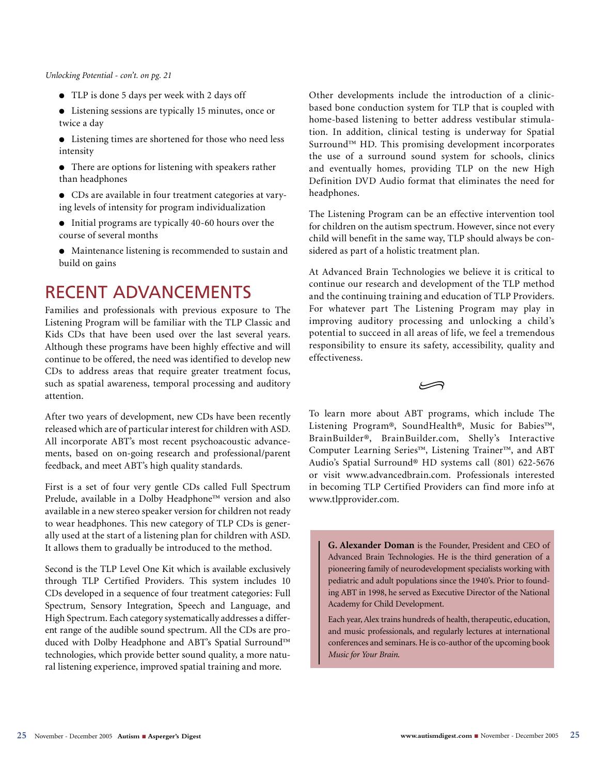### *Unlocking Potential - con't. on pg. 21*

- TLP is done 5 days per week with 2 days off
- Listening sessions are typically 15 minutes, once or twice a day
- Listening times are shortened for those who need less intensity
- There are options for listening with speakers rather than headphones
- CDs are available in four treatment categories at varying levels of intensity for program individualization
- Initial programs are typically 40-60 hours over the course of several months
- Maintenance listening is recommended to sustain and build on gains

# RECENT ADVANCEMENTS

Families and professionals with previous exposure to The Listening Program will be familiar with the TLP Classic and Kids CDs that have been used over the last several years. Although these programs have been highly effective and will continue to be offered, the need was identified to develop new CDs to address areas that require greater treatment focus, such as spatial awareness, temporal processing and auditory attention.

After two years of development, new CDs have been recently released which are of particular interest for children with ASD. All incorporate ABT's most recent psychoacoustic advancements, based on on-going research and professional/parent feedback, and meet ABT's high quality standards.

First is a set of four very gentle CDs called Full Spectrum Prelude, available in a Dolby Headphone™ version and also available in a new stereo speaker version for children not ready to wear headphones. This new category of TLP CDs is generally used at the start of a listening plan for children with ASD. It allows them to gradually be introduced to the method.

Second is the TLP Level One Kit which is available exclusively through TLP Certified Providers. This system includes 10 CDs developed in a sequence of four treatment categories: Full Spectrum, Sensory Integration, Speech and Language, and High Spectrum. Each category systematically addresses a different range of the audible sound spectrum. All the CDs are produced with Dolby Headphone and ABT's Spatial Surround™ technologies, which provide better sound quality, a more natural listening experience, improved spatial training and more.

Other developments include the introduction of a clinicbased bone conduction system for TLP that is coupled with home-based listening to better address vestibular stimulation. In addition, clinical testing is underway for Spatial Surround™ HD. This promising development incorporates the use of a surround sound system for schools, clinics and eventually homes, providing TLP on the new High Definition DVD Audio format that eliminates the need for headphones.

The Listening Program can be an effective intervention tool for children on the autism spectrum. However, since not every child will benefit in the same way, TLP should always be considered as part of a holistic treatment plan.

At Advanced Brain Technologies we believe it is critical to continue our research and development of the TLP method and the continuing training and education of TLP Providers. For whatever part The Listening Program may play in improving auditory processing and unlocking a child's potential to succeed in all areas of life, we feel a tremendous responsibility to ensure its safety, accessibility, quality and effectiveness.

ڪ

To learn more about ABT programs, which include The Listening Program®, SoundHealth®, Music for Babies™, BrainBuilder®, BrainBuilder.com, Shelly's Interactive Computer Learning Series™, Listening Trainer™, and ABT Audio's Spatial Surround® HD systems call (801) 622-5676 or visit www.advancedbrain.com. Professionals interested in becoming TLP Certified Providers can find more info at www.tlpprovider.com.

**G. Alexander Doman** is the Founder, President and CEO of Advanced Brain Technologies. He is the third generation of a pioneering family of neurodevelopment specialists working with pediatric and adult populations since the 1940's. Prior to founding ABT in 1998, he served as Executive Director of the National Academy for Child Development.

Each year, Alex trains hundreds of health, therapeutic, education, and music professionals, and regularly lectures at international conferences and seminars. He is co-author of the upcoming book *Music for Your Brain*.